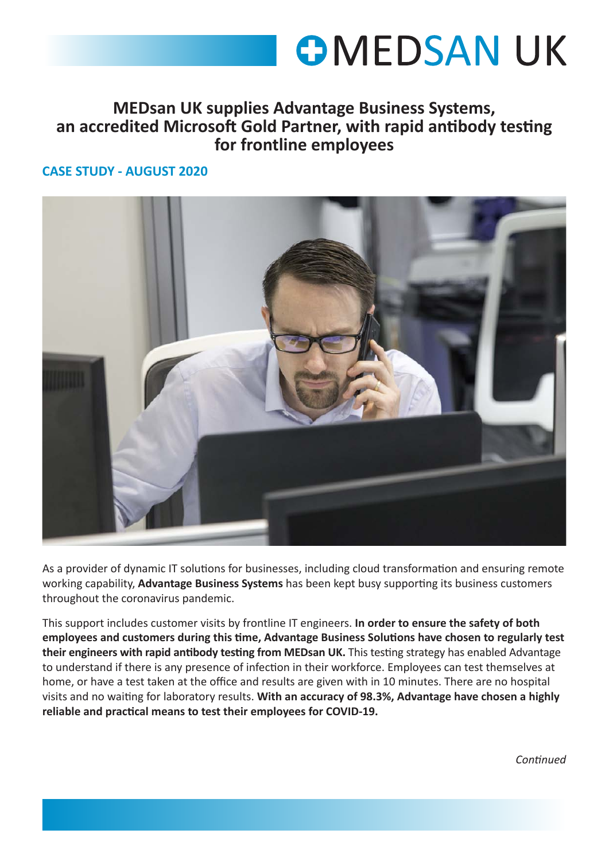## **OMEDSAN UK**

## **MEDsan UK supplies Advantage Business Systems, an accredited Microsoft Gold Partner, with rapid antibody testing for frontline employees**

## **CASE STUDY - AUGUST 2020**

CASE STUDY



As a provider of dynamic IT solutions for businesses, including cloud transformation and ensuring remote working capability, **Advantage Business Systems** has been kept busy supporting its business customers throughout the coronavirus pandemic.

This support includes customer visits by frontline IT engineers. **In order to ensure the safety of both employees and customers during this time, Advantage Business Solutions have chosen to regularly test their engineers with rapid antibody testing from MEDsan UK.** This testing strategy has enabled Advantage to understand if there is any presence of infection in their workforce. Employees can test themselves at home, or have a test taken at the office and results are given with in 10 minutes. There are no hospital visits and no waiting for laboratory results. **With an accuracy of 98.3%, Advantage have chosen a highly reliable and practical means to test their employees for COVID-19.** 

*Continued*